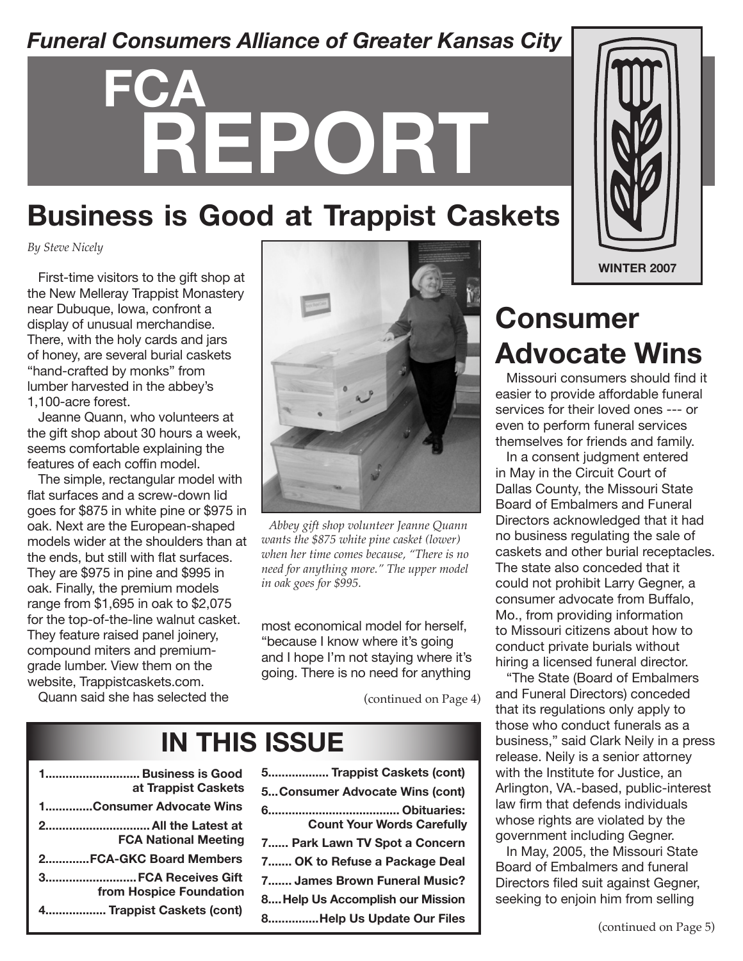### *Funeral Consumers Alliance of Greater Kansas City*

# **FCA REPORT**

### **Business is Good at Trappist Caskets**

*By Steve Nicely*

First-time visitors to the gift shop at the New Melleray Trappist Monastery near Dubuque, Iowa, confront a display of unusual merchandise. There, with the holy cards and jars of honey, are several burial caskets "hand-crafted by monks" from lumber harvested in the abbey's 1,100-acre forest.

Jeanne Quann, who volunteers at the gift shop about 30 hours a week, seems comfortable explaining the features of each coffin model.

The simple, rectangular model with flat surfaces and a screw-down lid goes for \$875 in white pine or \$975 in oak. Next are the European-shaped models wider at the shoulders than at the ends, but still with flat surfaces. They are \$975 in pine and \$995 in oak. Finally, the premium models range from \$1,695 in oak to \$2,075 for the top-of-the-line walnut casket. They feature raised panel joinery, compound miters and premiumgrade lumber. View them on the website, Trappistcaskets.com.

Quann said she has selected the



*Abbey gift shop volunteer Jeanne Quann wants the \$875 white pine casket (lower) when her time comes because, "There is no need for anything more." The upper model in oak goes for \$995.* 

most economical model for herself, "because I know where it's going and I hope I'm not staying where it's going. There is no need for anything

(continued on Page 4)

### **IN THIS ISSUE**

| 1 Business is Good<br>at Trappist Caskets          |
|----------------------------------------------------|
| 1Consumer Advocate Wins                            |
| 2 All the Latest at<br><b>FCA National Meeting</b> |
| 2FCA-GKC Board Members                             |
| 3 FCA Receives Gift<br>from Hospice Foundation     |
| 4 Trappist Caskets (cont)                          |

| 5 Trappist Caskets (cont)         |
|-----------------------------------|
| 5 Consumer Advocate Wins (cont)   |
| <b>Count Your Words Carefully</b> |
| 7 Park Lawn TV Spot a Concern     |
| 7 OK to Refuse a Package Deal     |
| 7 James Brown Funeral Music?      |
| 8Help Us Accomplish our Mission   |
| 8Help Us Update Our Files         |



### **Consumer Advocate Wins**

Missouri consumers should find it easier to provide affordable funeral services for their loved ones --- or even to perform funeral services themselves for friends and family.

In a consent judgment entered in May in the Circuit Court of Dallas County, the Missouri State Board of Embalmers and Funeral Directors acknowledged that it had no business regulating the sale of caskets and other burial receptacles. The state also conceded that it could not prohibit Larry Gegner, a consumer advocate from Buffalo, Mo., from providing information to Missouri citizens about how to conduct private burials without hiring a licensed funeral director.

"The State (Board of Embalmers and Funeral Directors) conceded that its regulations only apply to those who conduct funerals as a business," said Clark Neily in a press release. Neily is a senior attorney with the Institute for Justice, an Arlington, VA.-based, public-interest law firm that defends individuals whose rights are violated by the government including Gegner.

In May, 2005, the Missouri State Board of Embalmers and funeral Directors filed suit against Gegner, seeking to enjoin him from selling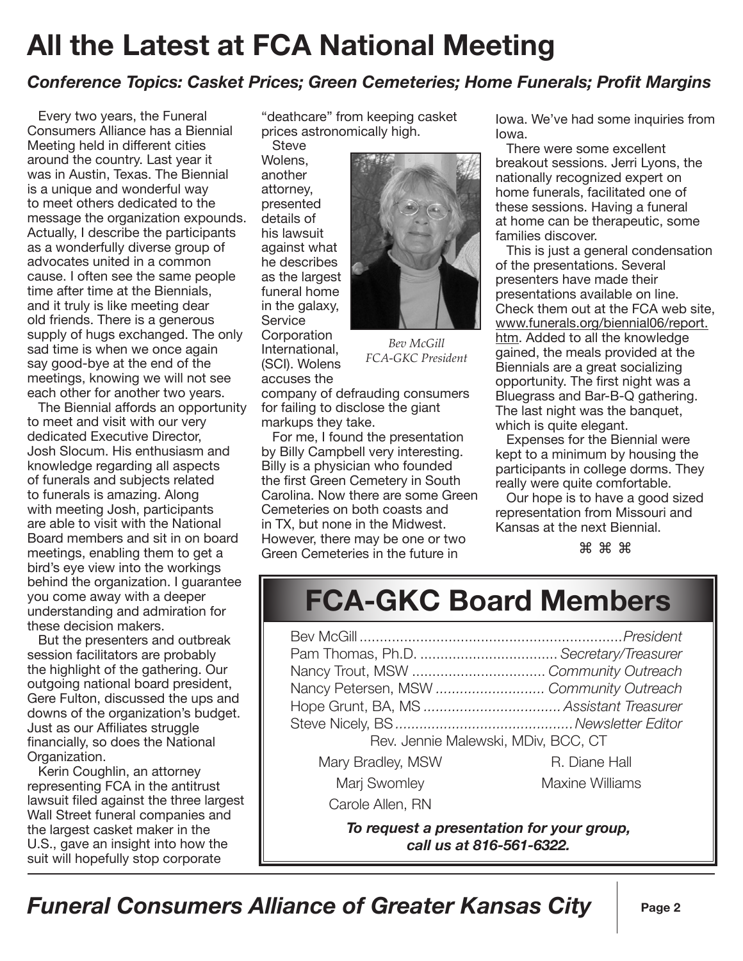## **All the Latest at FCA National Meeting**

#### *Conference Topics: Casket Prices; Green Cemeteries; Home Funerals; Profit Margins*

Every two years, the Funeral Consumers Alliance has a Biennial Meeting held in different cities around the country. Last year it was in Austin, Texas. The Biennial is a unique and wonderful way to meet others dedicated to the message the organization expounds. Actually, I describe the participants as a wonderfully diverse group of advocates united in a common cause. I often see the same people time after time at the Biennials, and it truly is like meeting dear old friends. There is a generous supply of hugs exchanged. The only sad time is when we once again say good-bye at the end of the meetings, knowing we will not see each other for another two years.

The Biennial affords an opportunity to meet and visit with our very dedicated Executive Director, Josh Slocum. His enthusiasm and knowledge regarding all aspects of funerals and subjects related to funerals is amazing. Along with meeting Josh, participants are able to visit with the National Board members and sit in on board meetings, enabling them to get a bird's eye view into the workings behind the organization. I guarantee you come away with a deeper understanding and admiration for these decision makers.

But the presenters and outbreak session facilitators are probably the highlight of the gathering. Our outgoing national board president, Gere Fulton, discussed the ups and downs of the organization's budget. Just as our Affiliates struggle financially, so does the National Organization.

Kerin Coughlin, an attorney representing FCA in the antitrust lawsuit filed against the three largest Wall Street funeral companies and the largest casket maker in the U.S., gave an insight into how the suit will hopefully stop corporate

"deathcare" from keeping casket prices astronomically high.

**Steve** Wolens, another attorney, presented details of his lawsuit against what he describes as the largest funeral home in the galaxy, **Service Corporation** International, (SCI). Wolens accuses the



*Bev McGill FCA-GKC President*

company of defrauding consumers for failing to disclose the giant markups they take.

For me, I found the presentation by Billy Campbell very interesting. Billy is a physician who founded the first Green Cemetery in South Carolina. Now there are some Green Cemeteries on both coasts and in TX, but none in the Midwest. However, there may be one or two Green Cemeteries in the future in

Iowa. We've had some inquiries from Iowa.

There were some excellent breakout sessions. Jerri Lyons, the nationally recognized expert on home funerals, facilitated one of these sessions. Having a funeral at home can be therapeutic, some families discover.

This is just a general condensation of the presentations. Several presenters have made their presentations available on line. Check them out at the FCA web site, www.funerals.org/biennial06/report. htm. Added to all the knowledge gained, the meals provided at the Biennials are a great socializing opportunity. The first night was a Bluegrass and Bar-B-Q gathering. The last night was the banquet, which is quite elegant.

Expenses for the Biennial were kept to a minimum by housing the participants in college dorms. They really were quite comfortable.

Our hope is to have a good sized representation from Missouri and Kansas at the next Biennial.

⌘ ⌘ ⌘

### **FCA-GKC Board Members**

| Rev. Jennie Malewski, MDiv, BCC, CT |                        |
|-------------------------------------|------------------------|
| Mary Bradley, MSW                   | R. Diane Hall          |
| Marj Swomley                        | <b>Maxine Williams</b> |
| Carole Allen, RN                    |                        |
|                                     |                        |

*To request a presentation for your group, call us at 816-561-6322.*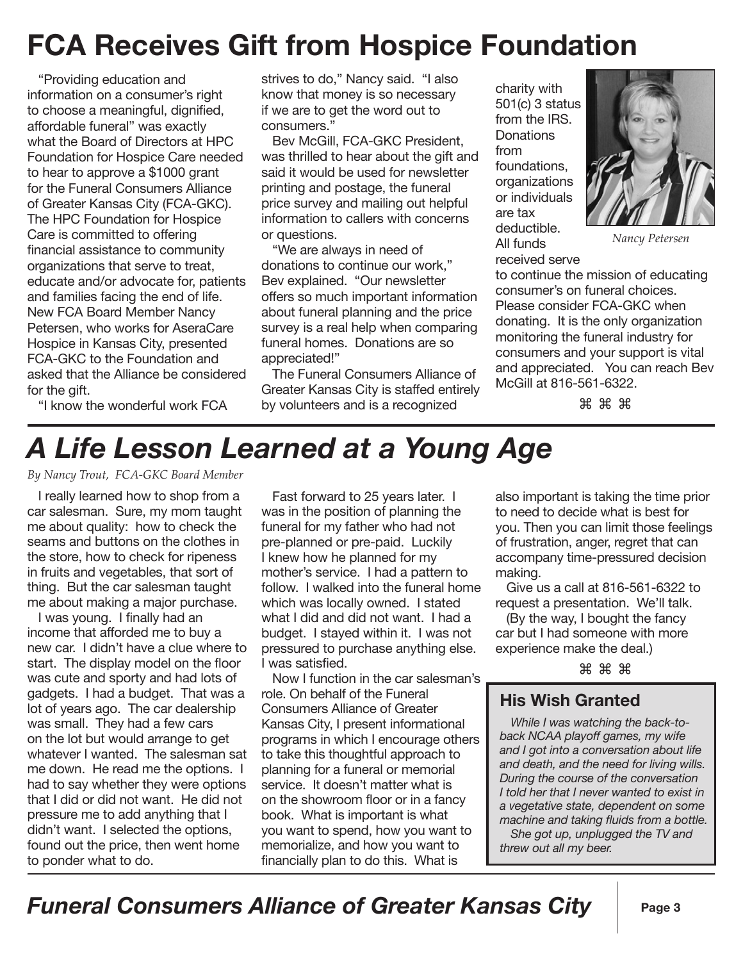# **FCA Receives Gift from Hospice Foundation**

"Providing education and information on a consumer's right to choose a meaningful, dignified, affordable funeral" was exactly what the Board of Directors at HPC Foundation for Hospice Care needed to hear to approve a \$1000 grant for the Funeral Consumers Alliance of Greater Kansas City (FCA-GKC). The HPC Foundation for Hospice Care is committed to offering financial assistance to community organizations that serve to treat, educate and/or advocate for, patients and families facing the end of life. New FCA Board Member Nancy Petersen, who works for AseraCare Hospice in Kansas City, presented FCA-GKC to the Foundation and asked that the Alliance be considered for the gift.

strives to do," Nancy said. "I also know that money is so necessary if we are to get the word out to consumers."

Bev McGill, FCA-GKC President, was thrilled to hear about the gift and said it would be used for newsletter printing and postage, the funeral price survey and mailing out helpful information to callers with concerns or questions.

"We are always in need of donations to continue our work," Bev explained. "Our newsletter offers so much important information about funeral planning and the price survey is a real help when comparing funeral homes. Donations are so appreciated!"

The Funeral Consumers Alliance of Greater Kansas City is staffed entirely by volunteers and is a recognized

charity with 501(c) 3 status from the IRS. **Donations** from foundations, organizations or individuals are tax deductible. All funds



*Nancy Petersen*

received serve to continue the mission of educating consumer's on funeral choices. Please consider FCA-GKC when donating. It is the only organization monitoring the funeral industry for consumers and your support is vital and appreciated. You can reach Bev McGill at 816-561-6322.

⌘ ⌘ ⌘

### "I know the wonderful work FCA

### *A Life Lesson Learned at a Young Age*

*By Nancy Trout, FCA-GKC Board Member*

I really learned how to shop from a car salesman. Sure, my mom taught me about quality: how to check the seams and buttons on the clothes in the store, how to check for ripeness in fruits and vegetables, that sort of thing. But the car salesman taught me about making a major purchase.

I was young. I finally had an income that afforded me to buy a new car. I didn't have a clue where to start. The display model on the floor was cute and sporty and had lots of gadgets. I had a budget. That was a lot of years ago. The car dealership was small. They had a few cars on the lot but would arrange to get whatever I wanted. The salesman sat me down. He read me the options. I had to say whether they were options that I did or did not want. He did not pressure me to add anything that I didn't want. I selected the options, found out the price, then went home to ponder what to do.

Fast forward to 25 years later. I was in the position of planning the funeral for my father who had not pre-planned or pre-paid. Luckily I knew how he planned for my mother's service. I had a pattern to follow. I walked into the funeral home which was locally owned. I stated what I did and did not want. I had a budget. I stayed within it. I was not pressured to purchase anything else. I was satisfied.

Now I function in the car salesman's role. On behalf of the Funeral Consumers Alliance of Greater Kansas City, I present informational programs in which I encourage others to take this thoughtful approach to planning for a funeral or memorial service. It doesn't matter what is on the showroom floor or in a fancy book. What is important is what you want to spend, how you want to memorialize, and how you want to financially plan to do this. What is

also important is taking the time prior to need to decide what is best for you. Then you can limit those feelings of frustration, anger, regret that can accompany time-pressured decision making.

Give us a call at 816-561-6322 to request a presentation. We'll talk.

(By the way, I bought the fancy car but I had someone with more experience make the deal.)

⌘ ⌘ ⌘

#### **His Wish Granted**

*While I was watching the back-toback NCAA playoff games, my wife and I got into a conversation about life and death, and the need for living wills. During the course of the conversation I told her that I never wanted to exist in a vegetative state, dependent on some machine and taking fluids from a bottle.*

*She got up, unplugged the TV and threw out all my beer.*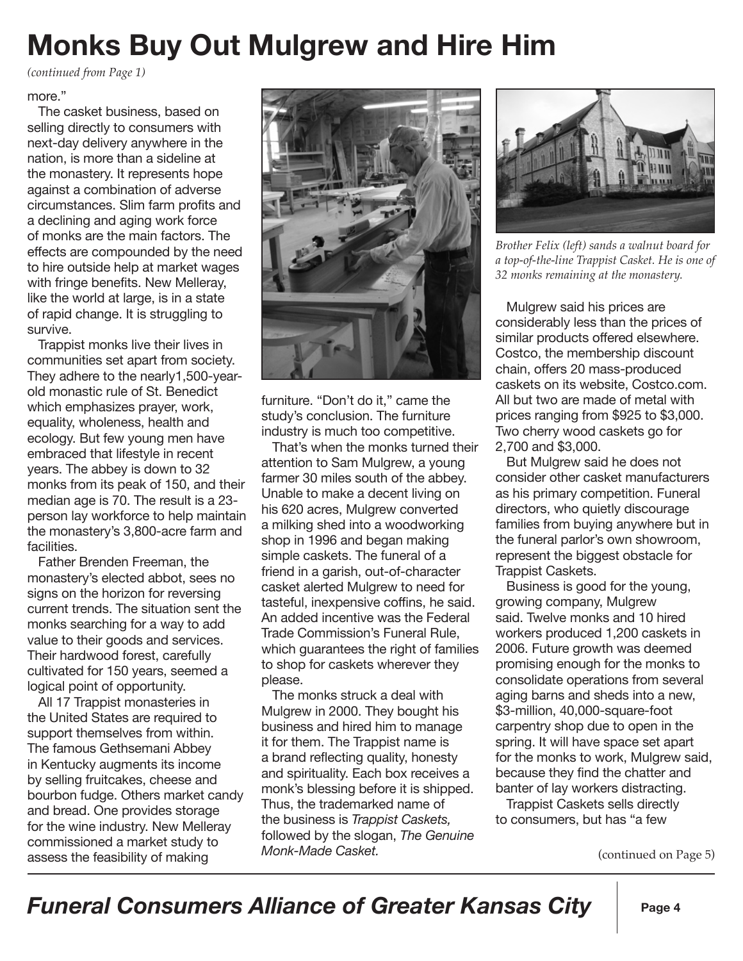## **Monks Buy Out Mulgrew and Hire Him**

*(continued from Page 1)*

#### more."

The casket business, based on selling directly to consumers with next-day delivery anywhere in the nation, is more than a sideline at the monastery. It represents hope against a combination of adverse circumstances. Slim farm profits and a declining and aging work force of monks are the main factors. The effects are compounded by the need to hire outside help at market wages with fringe benefits. New Melleray, like the world at large, is in a state of rapid change. It is struggling to survive.

Trappist monks live their lives in communities set apart from society. They adhere to the nearly1,500-yearold monastic rule of St. Benedict which emphasizes prayer, work, equality, wholeness, health and ecology. But few young men have embraced that lifestyle in recent years. The abbey is down to 32 monks from its peak of 150, and their median age is 70. The result is a 23 person lay workforce to help maintain the monastery's 3,800-acre farm and facilities.

Father Brenden Freeman, the monastery's elected abbot, sees no signs on the horizon for reversing current trends. The situation sent the monks searching for a way to add value to their goods and services. Their hardwood forest, carefully cultivated for 150 years, seemed a logical point of opportunity.

All 17 Trappist monasteries in the United States are required to support themselves from within. The famous Gethsemani Abbey in Kentucky augments its income by selling fruitcakes, cheese and bourbon fudge. Others market candy and bread. One provides storage for the wine industry. New Melleray commissioned a market study to assess the feasibility of making



furniture. "Don't do it," came the study's conclusion. The furniture industry is much too competitive.

That's when the monks turned their attention to Sam Mulgrew, a young farmer 30 miles south of the abbey. Unable to make a decent living on his 620 acres, Mulgrew converted a milking shed into a woodworking shop in 1996 and began making simple caskets. The funeral of a friend in a garish, out-of-character casket alerted Mulgrew to need for tasteful, inexpensive coffins, he said. An added incentive was the Federal Trade Commission's Funeral Rule, which guarantees the right of families to shop for caskets wherever they please.

The monks struck a deal with Mulgrew in 2000. They bought his business and hired him to manage it for them. The Trappist name is a brand reflecting quality, honesty and spirituality. Each box receives a monk's blessing before it is shipped. Thus, the trademarked name of the business is *Trappist Caskets,*  followed by the slogan, *The Genuine Monk-Made Casket.* 



*Brother Felix (left) sands a walnut board for a top-of-the-line Trappist Casket. He is one of 32 monks remaining at the monastery.*

Mulgrew said his prices are considerably less than the prices of similar products offered elsewhere. Costco, the membership discount chain, offers 20 mass-produced caskets on its website, Costco.com. All but two are made of metal with prices ranging from \$925 to \$3,000. Two cherry wood caskets go for 2,700 and \$3,000.

But Mulgrew said he does not consider other casket manufacturers as his primary competition. Funeral directors, who quietly discourage families from buying anywhere but in the funeral parlor's own showroom, represent the biggest obstacle for Trappist Caskets.

Business is good for the young, growing company, Mulgrew said. Twelve monks and 10 hired workers produced 1,200 caskets in 2006. Future growth was deemed promising enough for the monks to consolidate operations from several aging barns and sheds into a new, \$3-million, 40,000-square-foot carpentry shop due to open in the spring. It will have space set apart for the monks to work, Mulgrew said, because they find the chatter and banter of lay workers distracting.

Trappist Caskets sells directly to consumers, but has "a few

(continued on Page 5)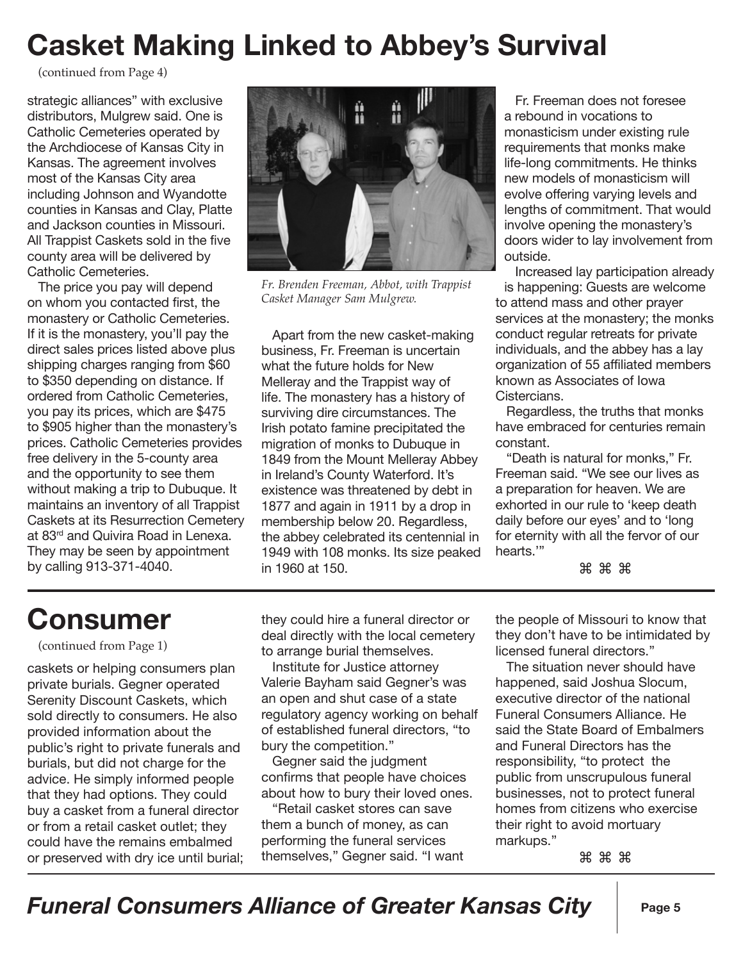# **Casket Making Linked to Abbey's Survival**

(continued from Page 4)

strategic alliances" with exclusive distributors, Mulgrew said. One is Catholic Cemeteries operated by the Archdiocese of Kansas City in Kansas. The agreement involves most of the Kansas City area including Johnson and Wyandotte counties in Kansas and Clay, Platte and Jackson counties in Missouri. All Trappist Caskets sold in the five county area will be delivered by Catholic Cemeteries.

The price you pay will depend on whom you contacted first, the monastery or Catholic Cemeteries. If it is the monastery, you'll pay the direct sales prices listed above plus shipping charges ranging from \$60 to \$350 depending on distance. If ordered from Catholic Cemeteries, you pay its prices, which are \$475 to \$905 higher than the monastery's prices. Catholic Cemeteries provides free delivery in the 5-county area and the opportunity to see them without making a trip to Dubuque. It maintains an inventory of all Trappist Caskets at its Resurrection Cemetery at 83<sup>rd</sup> and Quivira Road in Lenexa. They may be seen by appointment by calling 913-371-4040.



*Fr. Brenden Freeman, Abbot, with Trappist Casket Manager Sam Mulgrew.*

Apart from the new casket-making business, Fr. Freeman is uncertain what the future holds for New Melleray and the Trappist way of life. The monastery has a history of surviving dire circumstances. The Irish potato famine precipitated the migration of monks to Dubuque in 1849 from the Mount Melleray Abbey in Ireland's County Waterford. It's existence was threatened by debt in 1877 and again in 1911 by a drop in membership below 20. Regardless, the abbey celebrated its centennial in 1949 with 108 monks. Its size peaked in 1960 at 150.

Fr. Freeman does not foresee a rebound in vocations to monasticism under existing rule requirements that monks make life-long commitments. He thinks new models of monasticism will evolve offering varying levels and lengths of commitment. That would involve opening the monastery's doors wider to lay involvement from outside.

Increased lay participation already is happening: Guests are welcome to attend mass and other prayer services at the monastery; the monks conduct regular retreats for private individuals, and the abbey has a lay organization of 55 affiliated members known as Associates of Iowa Cistercians.

Regardless, the truths that monks have embraced for centuries remain constant.

"Death is natural for monks," Fr. Freeman said. "We see our lives as a preparation for heaven. We are exhorted in our rule to 'keep death daily before our eyes' and to 'long for eternity with all the fervor of our hearts.'"

#### ⌘ ⌘ ⌘

### **Consumer**

(continued from Page 1)

caskets or helping consumers plan private burials. Gegner operated Serenity Discount Caskets, which sold directly to consumers. He also provided information about the public's right to private funerals and burials, but did not charge for the advice. He simply informed people that they had options. They could buy a casket from a funeral director or from a retail casket outlet; they could have the remains embalmed or preserved with dry ice until burial;

they could hire a funeral director or deal directly with the local cemetery to arrange burial themselves.

Institute for Justice attorney Valerie Bayham said Gegner's was an open and shut case of a state regulatory agency working on behalf of established funeral directors, "to bury the competition."

Gegner said the judgment confirms that people have choices about how to bury their loved ones.

"Retail casket stores can save them a bunch of money, as can performing the funeral services themselves," Gegner said. "I want the people of Missouri to know that they don't have to be intimidated by licensed funeral directors."

The situation never should have happened, said Joshua Slocum, executive director of the national Funeral Consumers Alliance. He said the State Board of Embalmers and Funeral Directors has the responsibility, "to protect the public from unscrupulous funeral businesses, not to protect funeral homes from citizens who exercise their right to avoid mortuary markups."

⌘ ⌘ ⌘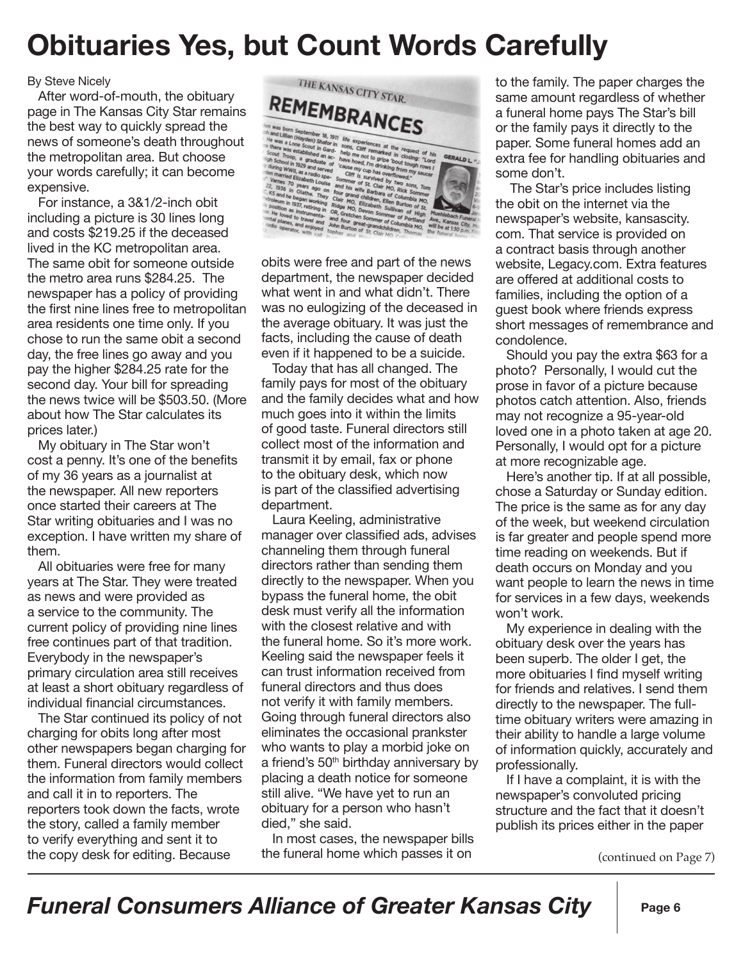### **Obituaries Yes, but Count Words Carefully**

#### By Steve Nicely

After word-of-mouth, the obituary page in The Kansas City Star remains the best way to quickly spread the news of someone's death throughout the metropolitan area. But choose your words carefully; it can become expensive.

For instance, a 3&1/2-inch obit including a picture is 30 lines long and costs \$219.25 if the deceased lived in the KC metropolitan area. The same obit for someone outside the metro area runs \$284.25. The newspaper has a policy of providing the first nine lines free to metropolitan area residents one time only. If you chose to run the same obit a second day, the free lines go away and you pay the higher \$284.25 rate for the second day. Your bill for spreading the news twice will be \$503.50. (More about how The Star calculates its prices later.)

My obituary in The Star won't cost a penny. It's one of the benefits of my 36 years as a journalist at the newspaper. All new reporters once started their careers at The Star writing obituaries and I was no exception. I have written my share of them.

All obituaries were free for many years at The Star. They were treated as news and were provided as a service to the community. The current policy of providing nine lines free continues part of that tradition. Everybody in the newspaper's primary circulation area still receives at least a short obituary regardless of individual financial circumstances.

The Star continued its policy of not charging for obits long after most other newspapers began charging for them. Funeral directors would collect the information from family members and call it in to reporters. The reporters took down the facts, wrote the story, called a family member to verify everything and sent it to the copy desk for editing. Because



obits were free and part of the news department, the newspaper decided what went in and what didn't. There was no eulogizing of the deceased in the average obituary. It was just the facts, including the cause of death even if it happened to be a suicide.

Today that has all changed. The family pays for most of the obituary and the family decides what and how much goes into it within the limits of good taste. Funeral directors still collect most of the information and transmit it by email, fax or phone to the obituary desk, which now is part of the classified advertising department.

Laura Keeling, administrative manager over classified ads, advises channeling them through funeral directors rather than sending them directly to the newspaper. When you bypass the funeral home, the obit desk must verify all the information with the closest relative and with the funeral home. So it's more work. Keeling said the newspaper feels it can trust information received from funeral directors and thus does not verify it with family members. Going through funeral directors also eliminates the occasional prankster who wants to play a morbid joke on a friend's 50th birthday anniversary by placing a death notice for someone still alive. "We have yet to run an obituary for a person who hasn't died," she said.

In most cases, the newspaper bills the funeral home which passes it on

to the family. The paper charges the same amount regardless of whether a funeral home pays The Star's bill or the family pays it directly to the paper. Some funeral homes add an extra fee for handling obituaries and some don't.

 The Star's price includes listing the obit on the internet via the newspaper's website, kansascity. com. That service is provided on a contract basis through another website, Legacy.com. Extra features are offered at additional costs to families, including the option of a guest book where friends express short messages of remembrance and condolence.

Should you pay the extra \$63 for a photo? Personally, I would cut the prose in favor of a picture because photos catch attention. Also, friends may not recognize a 95-year-old loved one in a photo taken at age 20. Personally, I would opt for a picture at more recognizable age.

Here's another tip. If at all possible, chose a Saturday or Sunday edition. The price is the same as for any day of the week, but weekend circulation is far greater and people spend more time reading on weekends. But if death occurs on Monday and you want people to learn the news in time for services in a few days, weekends won't work.

My experience in dealing with the obituary desk over the years has been superb. The older I get, the more obituaries I find myself writing for friends and relatives. I send them directly to the newspaper. The fulltime obituary writers were amazing in their ability to handle a large volume of information quickly, accurately and professionally.

If I have a complaint, it is with the newspaper's convoluted pricing structure and the fact that it doesn't publish its prices either in the paper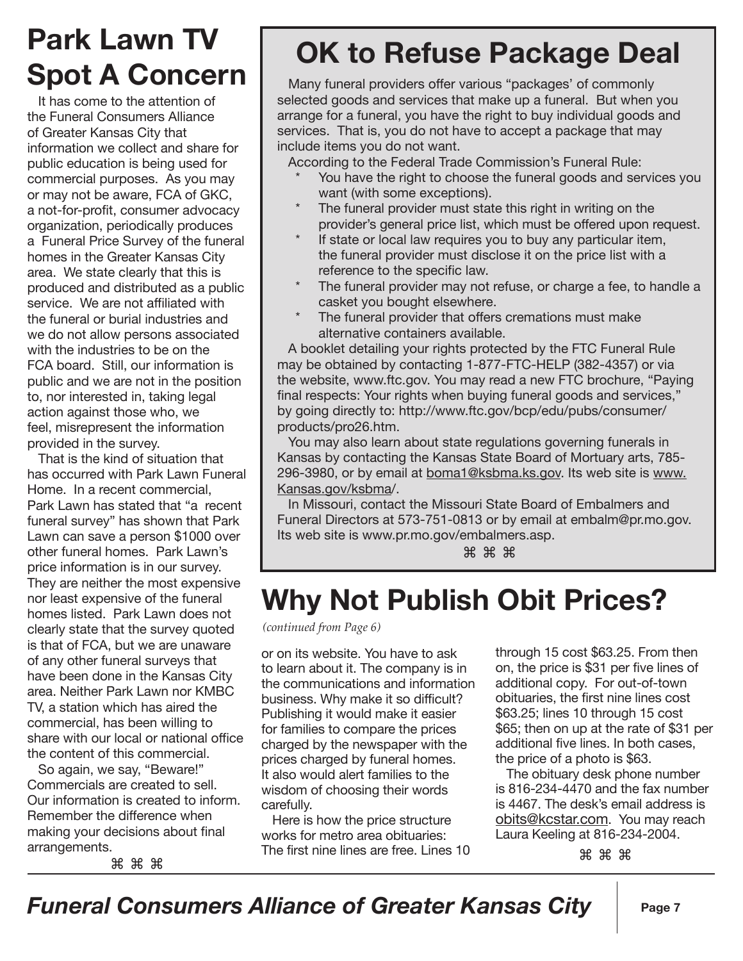### **Park Lawn TV Spot A Concern**

It has come to the attention of the Funeral Consumers Alliance of Greater Kansas City that information we collect and share for public education is being used for commercial purposes. As you may or may not be aware, FCA of GKC, a not-for-profit, consumer advocacy organization, periodically produces a Funeral Price Survey of the funeral homes in the Greater Kansas City area. We state clearly that this is produced and distributed as a public service. We are not affiliated with the funeral or burial industries and we do not allow persons associated with the industries to be on the FCA board. Still, our information is public and we are not in the position to, nor interested in, taking legal action against those who, we feel, misrepresent the information provided in the survey.

That is the kind of situation that has occurred with Park Lawn Funeral Home. In a recent commercial, Park Lawn has stated that "a recent funeral survey" has shown that Park Lawn can save a person \$1000 over other funeral homes. Park Lawn's price information is in our survey. They are neither the most expensive nor least expensive of the funeral homes listed. Park Lawn does not clearly state that the survey quoted is that of FCA, but we are unaware of any other funeral surveys that have been done in the Kansas City area. Neither Park Lawn nor KMBC TV, a station which has aired the commercial, has been willing to share with our local or national office the content of this commercial.

So again, we say, "Beware!" Commercials are created to sell. Our information is created to inform. Remember the difference when making your decisions about final arrangements.

⌘ ⌘ ⌘

# **OK to Refuse Package Deal**

Many funeral providers offer various "packages' of commonly selected goods and services that make up a funeral. But when you arrange for a funeral, you have the right to buy individual goods and services. That is, you do not have to accept a package that may include items you do not want.

According to the Federal Trade Commission's Funeral Rule:

- You have the right to choose the funeral goods and services you want (with some exceptions).
- The funeral provider must state this right in writing on the provider's general price list, which must be offered upon request.
- If state or local law requires you to buy any particular item, the funeral provider must disclose it on the price list with a reference to the specific law.
- The funeral provider may not refuse, or charge a fee, to handle a casket you bought elsewhere.
- The funeral provider that offers cremations must make alternative containers available.

A booklet detailing your rights protected by the FTC Funeral Rule may be obtained by contacting 1-877-FTC-HELP (382-4357) or via the website, www.ftc.gov. You may read a new FTC brochure, "Paying final respects: Your rights when buying funeral goods and services," by going directly to: http://www.ftc.gov/bcp/edu/pubs/consumer/ products/pro26.htm.

You may also learn about state regulations governing funerals in Kansas by contacting the Kansas State Board of Mortuary arts, 785- 296-3980, or by email at boma1@ksbma.ks.gov. Its web site is www. Kansas.gov/ksbma/.

In Missouri, contact the Missouri State Board of Embalmers and Funeral Directors at 573-751-0813 or by email at embalm@pr.mo.gov. Its web site is www.pr.mo.gov/embalmers.asp.

⌘ ⌘ ⌘

## **Why Not Publish Obit Prices?**

*(continued from Page 6)*

or on its website. You have to ask to learn about it. The company is in the communications and information business. Why make it so difficult? Publishing it would make it easier for families to compare the prices charged by the newspaper with the prices charged by funeral homes. It also would alert families to the wisdom of choosing their words carefully.

Here is how the price structure works for metro area obituaries: The first nine lines are free. Lines 10 through 15 cost \$63.25. From then on, the price is \$31 per five lines of additional copy. For out-of-town obituaries, the first nine lines cost \$63.25; lines 10 through 15 cost \$65; then on up at the rate of \$31 per additional five lines. In both cases, the price of a photo is \$63.

The obituary desk phone number is 816-234-4470 and the fax number is 4467. The desk's email address is obits@kcstar.com. You may reach Laura Keeling at 816-234-2004.

⌘ ⌘ ⌘